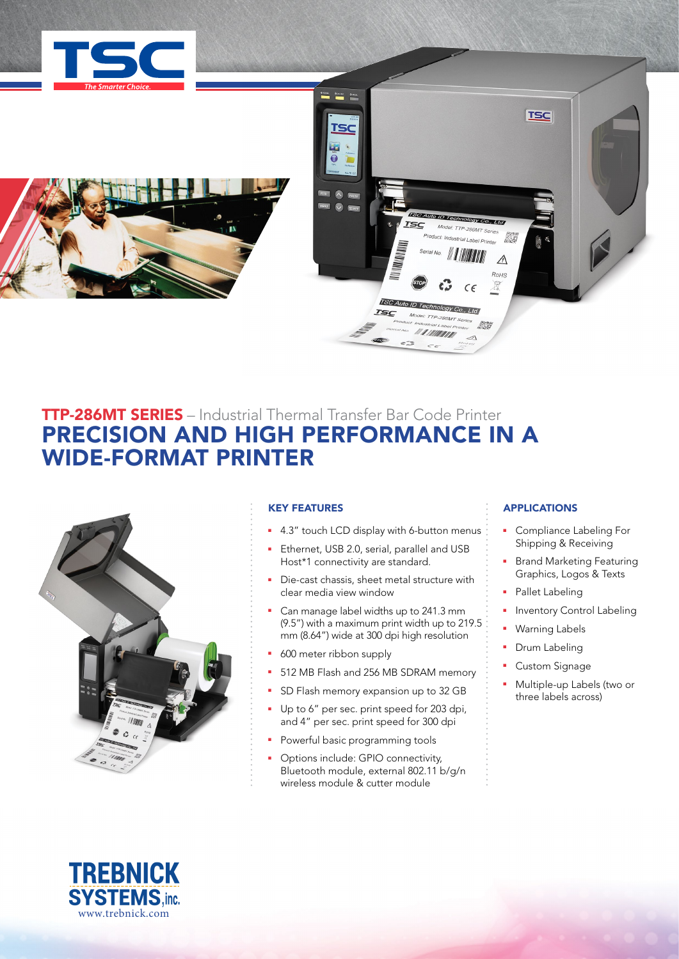



# **TTP-286MT SERIES** – Industrial Thermal Transfer Bar Code Printer PRECISION AND HIGH PERFORMANCE IN A WIDE-FORMAT PRINTER



## KEY FEATURES

- <sup>1</sup> 4.3" touch LCD display with 6-button menus
- Ethernet, USB 2.0, serial, parallel and USB Host\*1 connectivity are standard.
- Die-cast chassis, sheet metal structure with clear media view window
- Can manage label widths up to 241.3 mm (9.5") with a maximum print width up to 219.5 mm (8.64") wide at 300 dpi high resolution
- 600 meter ribbon supply
- **512 MB Flash and 256 MB SDRAM memory**
- SD Flash memory expansion up to 32 GB
- **Up to 6" per sec. print speed for 203 dpi,** and 4" per sec. print speed for 300 dpi
- Powerful basic programming tools
- Options include: GPIO connectivity, Bluetooth module, external 802.11 b/g/n wireless module & cutter module

## **APPLICATIONS**

- **•** Compliance Labeling For Shipping & Receiving
- **Brand Marketing Featuring** Graphics, Logos & Texts
- Pallet Labeling
- **Inventory Control Labeling**
- **Naming Labels**
- Drum Labeling
- Custom Signage
- **Nultiple-up Labels (two or** three labels across)